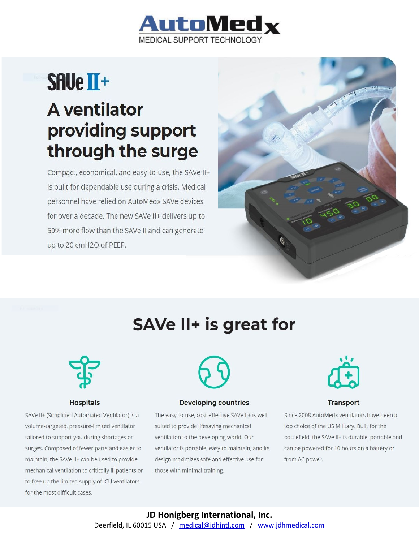

# **SAUe II+ A** ventilator providing support through the surge

Compact, economical, and easy-to-use, the SAVe II+ is built for dependable use during a crisis. Medical personnel have relied on AutoMedx SAVe devices for over a decade. The new SAVe II+ delivers up to 50% more flow than the SAVe II and can generate up to 20 cmH2O of PEEP.



# SAVe II+ is great for



#### **Hospitals**

SAVe II+ (Simplified Automated Ventilator) is a volume-targeted, pressure-limited ventilator tailored to support you during shortages or surges. Composed of fewer parts and easier to maintain, the SAVe II+ can be used to provide mechanical ventilation to critically ill patients or to free up the limited supply of ICU ventilators for the most difficult cases.



#### **Developing countries**

The easy-to-use, cost-effective SAVe II+ is well suited to provide lifesaving mechanical ventilation to the developing world. Our ventilator is portable, easy to maintain, and its design maximizes safe and effective use for those with minimal training.



#### **Transport**

Since 2008 AutoMedx ventilators have been a top choice of the US Military. Built for the battlefield, the SAVe II+ is durable, portable and can be powered for 10 hours on a battery or from AC power.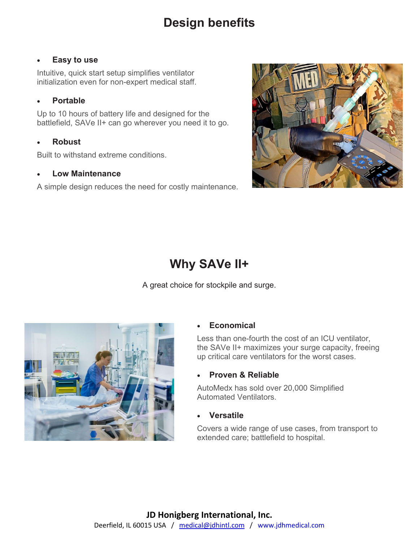## **Design benefits**

### • **Easy to use**

Intuitive, quick start setup simplifies ventilator initialization even for non-expert medical staff.

### • **Portable**

Up to 10 hours of battery life and designed for the battlefield, SAVe II+ can go wherever you need it to go.

### • **Robust**

Built to withstand extreme conditions.

### • **Low Maintenance**

A simple design reduces the need for costly maintenance.



# **Why SAVe II+**

A great choice for stockpile and surge.



### • **Economical**

Less than one-fourth the cost of an ICU ventilator, the SAVe II+ maximizes your surge capacity, freeing up critical care ventilators for the worst cases.

### • **Proven & Reliable**

AutoMedx has sold over 20,000 Simplified Automated Ventilators.

### • **Versatile**

Covers a wide range of use cases, from transport to extended care; battlefield to hospital.